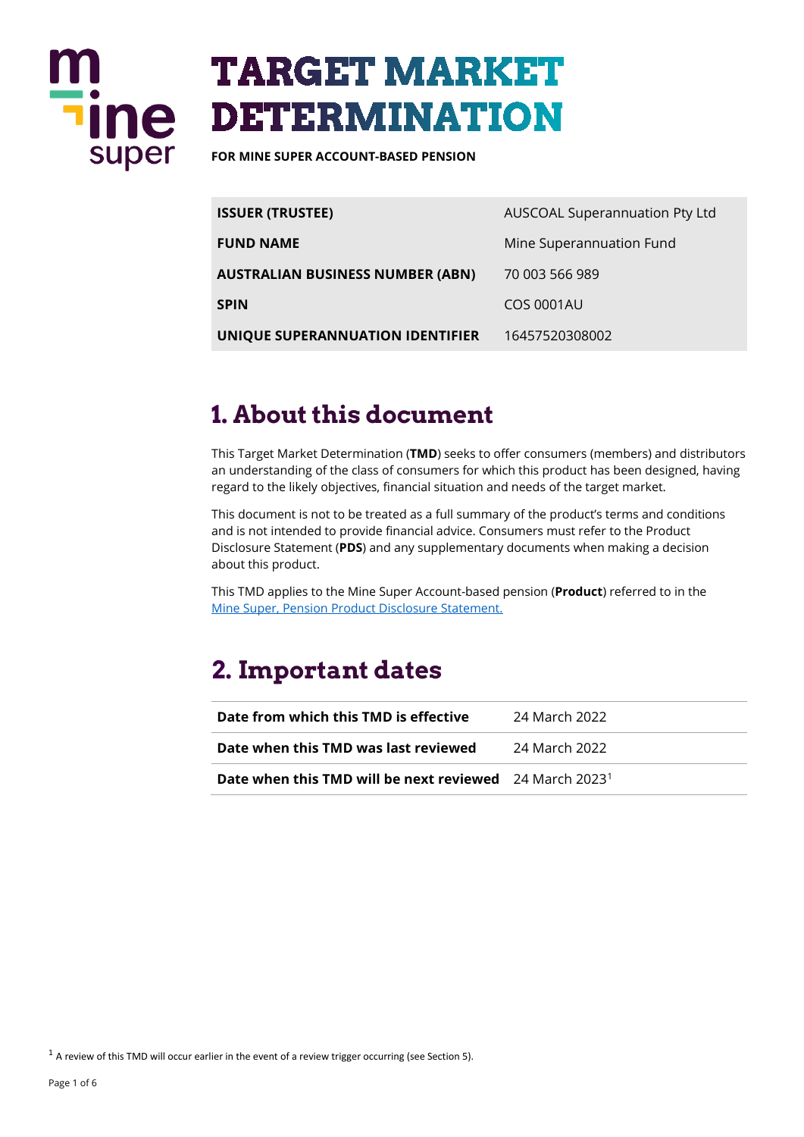

# **TARGET MARKET DETERMINATION**

**FOR MINE SUPER ACCOUNT-BASED PENSION**

| <b>ISSUER (TRUSTEE)</b>          | AUSCOAL Superannuation Pty Ltd |
|----------------------------------|--------------------------------|
| <b>FUND NAME</b>                 | Mine Superannuation Fund       |
| AUSTRALIAN BUSINESS NUMBER (ABN) | 70 003 566 989                 |
| SPIN                             | <b>COS 0001AU</b>              |
| UNIQUE SUPERANNUATION IDENTIFIER | 16457520308002                 |

### **1. About this document**

This Target Market Determination (**TMD**) seeks to offer consumers (members) and distributors an understanding of the class of consumers for which this product has been designed, having regard to the likely objectives, financial situation and needs of the target market.

This document is not to be treated as a full summary of the product's terms and conditions and is not intended to provide financial advice. Consumers must refer to the Product Disclosure Statement (**PDS**) and any supplementary documents when making a decision about this product.

This TMD applies to the Mine Super Account-based pension (**Product**) referred to in the [Mine Super, Pension Product Disclosure Statement.](https://www.mine.com.au/docs/default-source/publications/pension-pds.pdf) 

### **2. Important dates**

| Date from which this TMD is effective                                      | 24 March 2022   |
|----------------------------------------------------------------------------|-----------------|
| Date when this TMD was last reviewed                                       | - 24 March 2022 |
| <b>Date when this TMD will be next reviewed</b> 24 March 2023 <sup>1</sup> |                 |

<span id="page-0-0"></span> $1$  A review of this TMD will occur earlier in the event of a review trigger occurring (see Section 5).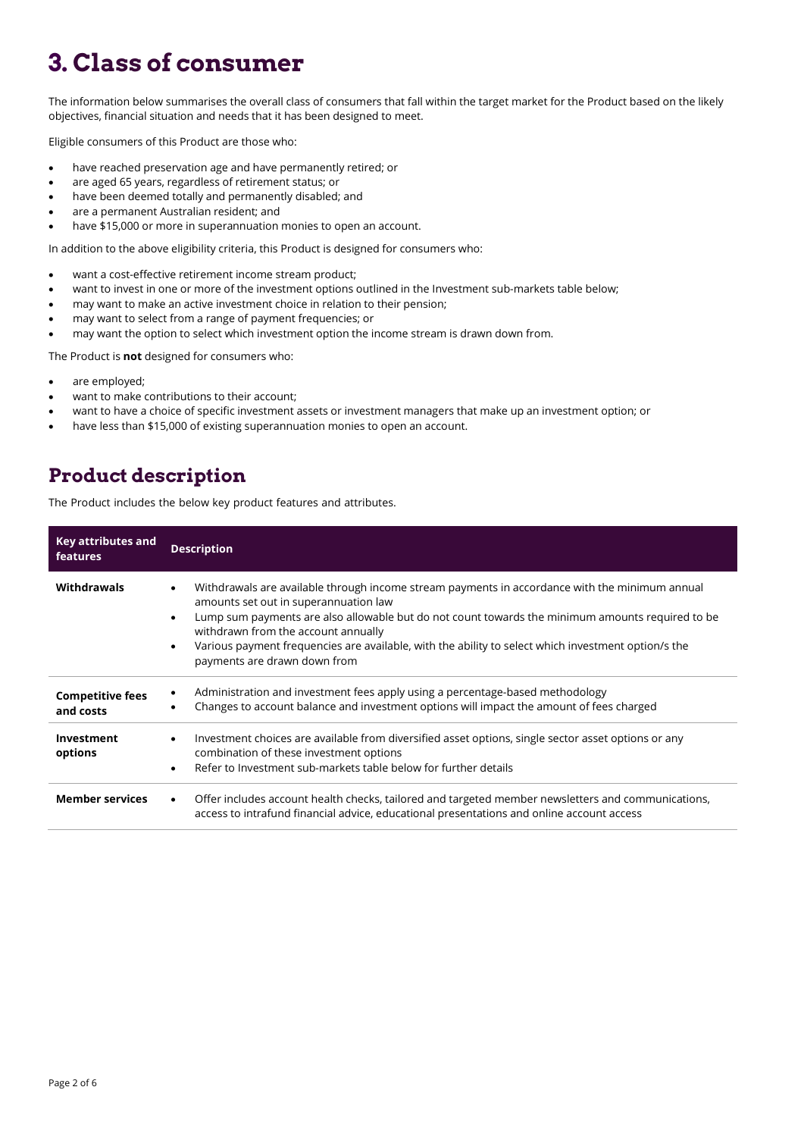## **3. Class of consumer**

The information below summarises the overall class of consumers that fall within the target market for the Product based on the likely objectives, financial situation and needs that it has been designed to meet.

Eligible consumers of this Product are those who:

- have reached preservation age and have permanently retired; or
- are aged 65 years, regardless of retirement status; or
- have been deemed totally and permanently disabled; and
- are a permanent Australian resident; and
- have \$15,000 or more in superannuation monies to open an account.

In addition to the above eligibility criteria, this Product is designed for consumers who:

- want a cost-effective retirement income stream product;
- want to invest in one or more of the investment options outlined in the Investment sub-markets table below;
- may want to make an active investment choice in relation to their pension;
- may want to select from a range of payment frequencies; or
- may want the option to select which investment option the income stream is drawn down from.

The Product is **not** designed for consumers who:

- are employed;
- want to make contributions to their account;
- want to have a choice of specific investment assets or investment managers that make up an investment option; or
- have less than \$15,000 of existing superannuation monies to open an account.

#### **Product description**

The Product includes the below key product features and attributes.

| Key attributes and<br>features       | <b>Description</b>                                                                                                                                                                                                                                                                                                                                                                                                                                               |  |
|--------------------------------------|------------------------------------------------------------------------------------------------------------------------------------------------------------------------------------------------------------------------------------------------------------------------------------------------------------------------------------------------------------------------------------------------------------------------------------------------------------------|--|
| Withdrawals                          | Withdrawals are available through income stream payments in accordance with the minimum annual<br>$\bullet$<br>amounts set out in superannuation law<br>Lump sum payments are also allowable but do not count towards the minimum amounts required to be<br>$\bullet$<br>withdrawn from the account annually<br>Various payment frequencies are available, with the ability to select which investment option/s the<br>$\bullet$<br>payments are drawn down from |  |
| <b>Competitive fees</b><br>and costs | Administration and investment fees apply using a percentage-based methodology<br>Changes to account balance and investment options will impact the amount of fees charged                                                                                                                                                                                                                                                                                        |  |
| Investment<br>options                | Investment choices are available from diversified asset options, single sector asset options or any<br>$\bullet$<br>combination of these investment options<br>Refer to Investment sub-markets table below for further details<br>$\bullet$                                                                                                                                                                                                                      |  |
| <b>Member services</b>               | Offer includes account health checks, tailored and targeted member newsletters and communications,<br>$\bullet$<br>access to intrafund financial advice, educational presentations and online account access                                                                                                                                                                                                                                                     |  |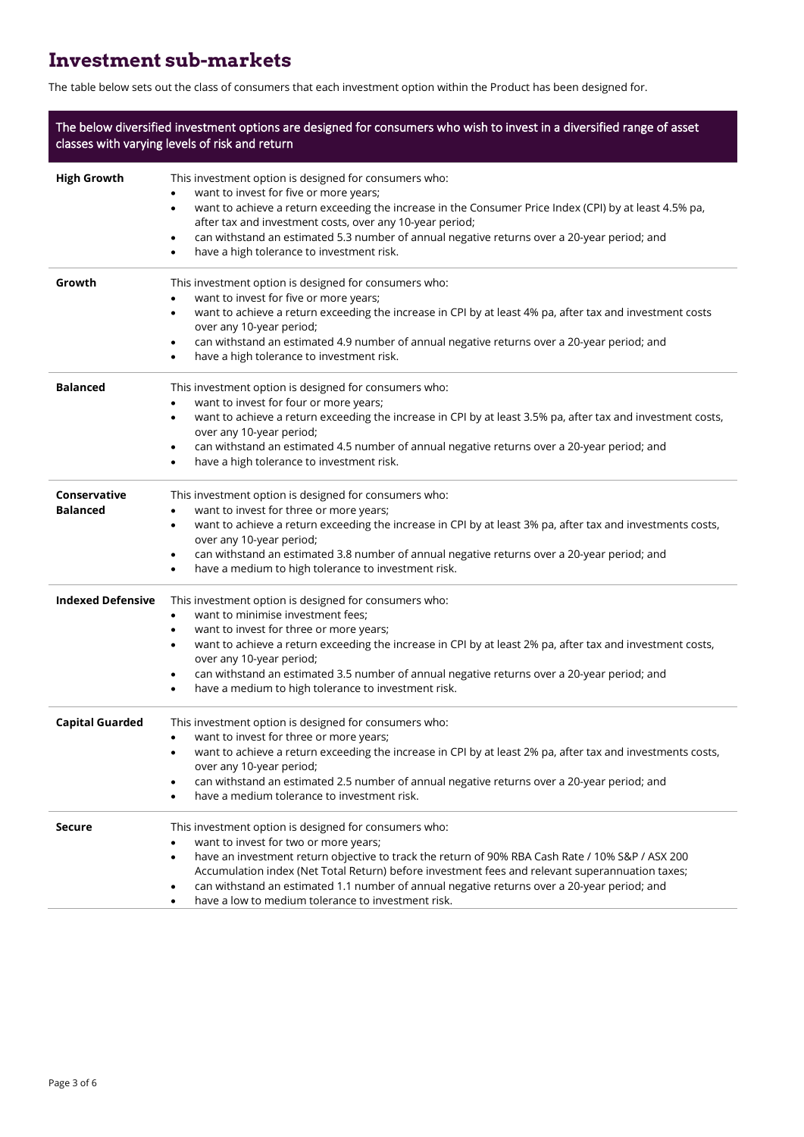### **Investment sub-markets**

The table below sets out the class of consumers that each investment option within the Product has been designed for.

| The below diversified investment options are designed for consumers who wish to invest in a diversified range of asset<br>classes with varying levels of risk and return |                                                                                                                                                                                                                                                                                                                                                                                                                                                                                   |  |
|--------------------------------------------------------------------------------------------------------------------------------------------------------------------------|-----------------------------------------------------------------------------------------------------------------------------------------------------------------------------------------------------------------------------------------------------------------------------------------------------------------------------------------------------------------------------------------------------------------------------------------------------------------------------------|--|
| <b>High Growth</b>                                                                                                                                                       | This investment option is designed for consumers who:<br>want to invest for five or more years;<br>want to achieve a return exceeding the increase in the Consumer Price Index (CPI) by at least 4.5% pa,<br>$\bullet$<br>after tax and investment costs, over any 10-year period;<br>can withstand an estimated 5.3 number of annual negative returns over a 20-year period; and<br>٠<br>have a high tolerance to investment risk.<br>٠                                          |  |
| Growth                                                                                                                                                                   | This investment option is designed for consumers who:<br>want to invest for five or more years;<br>٠<br>want to achieve a return exceeding the increase in CPI by at least 4% pa, after tax and investment costs<br>$\bullet$<br>over any 10-year period;<br>can withstand an estimated 4.9 number of annual negative returns over a 20-year period; and<br>٠<br>have a high tolerance to investment risk.                                                                        |  |
| <b>Balanced</b>                                                                                                                                                          | This investment option is designed for consumers who:<br>want to invest for four or more years;<br>$\bullet$<br>want to achieve a return exceeding the increase in CPI by at least 3.5% pa, after tax and investment costs,<br>$\bullet$<br>over any 10-year period;<br>can withstand an estimated 4.5 number of annual negative returns over a 20-year period; and<br>٠<br>have a high tolerance to investment risk.<br>٠                                                        |  |
| Conservative<br><b>Balanced</b>                                                                                                                                          | This investment option is designed for consumers who:<br>want to invest for three or more years;<br>$\bullet$<br>want to achieve a return exceeding the increase in CPI by at least 3% pa, after tax and investments costs,<br>$\bullet$<br>over any 10-year period;<br>can withstand an estimated 3.8 number of annual negative returns over a 20-year period; and<br>$\bullet$<br>have a medium to high tolerance to investment risk.<br>٠                                      |  |
| <b>Indexed Defensive</b>                                                                                                                                                 | This investment option is designed for consumers who:<br>want to minimise investment fees;<br>٠<br>want to invest for three or more years;<br>٠<br>want to achieve a return exceeding the increase in CPI by at least 2% pa, after tax and investment costs,<br>٠<br>over any 10-year period;<br>can withstand an estimated 3.5 number of annual negative returns over a 20-year period; and<br>٠<br>have a medium to high tolerance to investment risk.<br>٠                     |  |
| <b>Capital Guarded</b>                                                                                                                                                   | This investment option is designed for consumers who:<br>want to invest for three or more years;<br>want to achieve a return exceeding the increase in CPI by at least 2% pa, after tax and investments costs,<br>over any 10-year period;<br>can withstand an estimated 2.5 number of annual negative returns over a 20-year period; and<br>٠<br>have a medium tolerance to investment risk.<br>٠                                                                                |  |
| <b>Secure</b>                                                                                                                                                            | This investment option is designed for consumers who:<br>want to invest for two or more years;<br>have an investment return objective to track the return of 90% RBA Cash Rate / 10% S&P / ASX 200<br>$\bullet$<br>Accumulation index (Net Total Return) before investment fees and relevant superannuation taxes;<br>can withstand an estimated 1.1 number of annual negative returns over a 20-year period; and<br>٠<br>have a low to medium tolerance to investment risk.<br>٠ |  |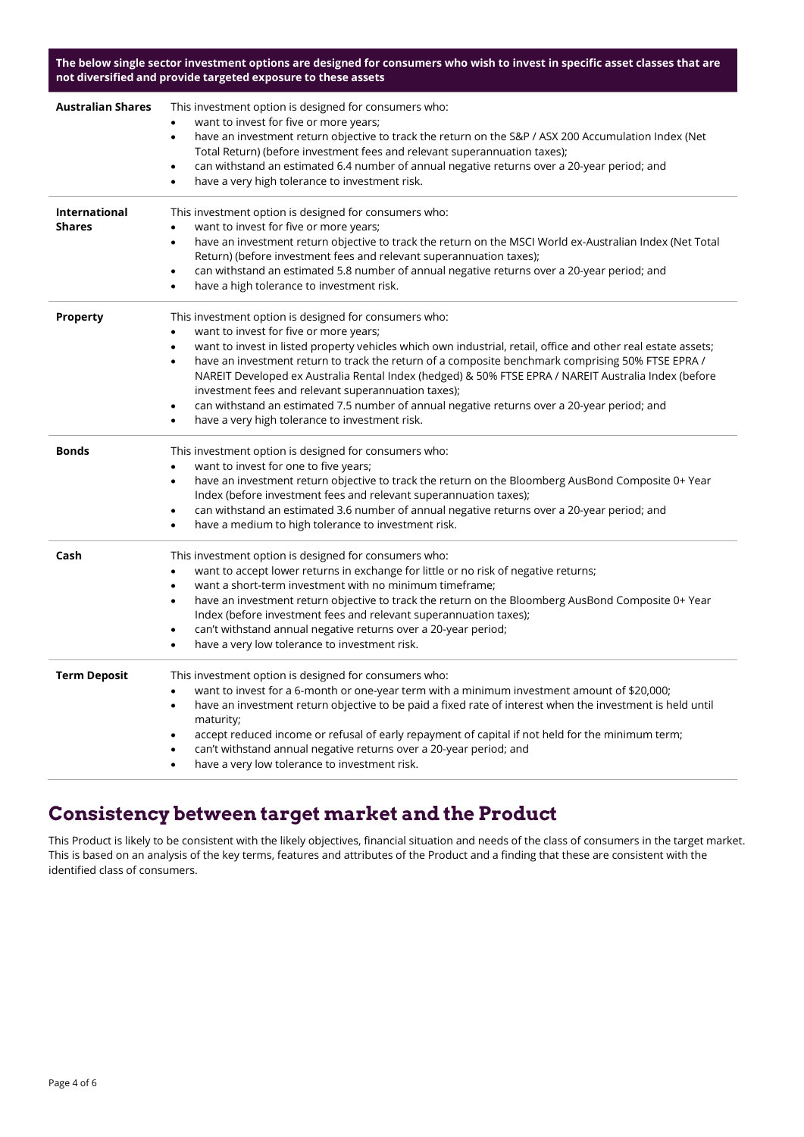**The below single sector investment options are designed for consumers who wish to invest in specific asset classes that are not diversified and provide targeted exposure to these assets**

| <b>Australian Shares</b>       | This investment option is designed for consumers who:<br>want to invest for five or more years;<br>have an investment return objective to track the return on the S&P / ASX 200 Accumulation Index (Net<br>$\bullet$<br>Total Return) (before investment fees and relevant superannuation taxes);<br>can withstand an estimated 6.4 number of annual negative returns over a 20-year period; and<br>$\bullet$<br>have a very high tolerance to investment risk.<br>$\bullet$                                                                                                                                                                                                                   |
|--------------------------------|------------------------------------------------------------------------------------------------------------------------------------------------------------------------------------------------------------------------------------------------------------------------------------------------------------------------------------------------------------------------------------------------------------------------------------------------------------------------------------------------------------------------------------------------------------------------------------------------------------------------------------------------------------------------------------------------|
| International<br><b>Shares</b> | This investment option is designed for consumers who:<br>want to invest for five or more years;<br>$\bullet$<br>have an investment return objective to track the return on the MSCI World ex-Australian Index (Net Total<br>٠<br>Return) (before investment fees and relevant superannuation taxes);<br>can withstand an estimated 5.8 number of annual negative returns over a 20-year period; and<br>٠<br>have a high tolerance to investment risk.<br>$\bullet$                                                                                                                                                                                                                             |
| <b>Property</b>                | This investment option is designed for consumers who:<br>want to invest for five or more years;<br>٠<br>want to invest in listed property vehicles which own industrial, retail, office and other real estate assets;<br>$\bullet$<br>have an investment return to track the return of a composite benchmark comprising 50% FTSE EPRA /<br>$\bullet$<br>NAREIT Developed ex Australia Rental Index (hedged) & 50% FTSE EPRA / NAREIT Australia Index (before<br>investment fees and relevant superannuation taxes);<br>can withstand an estimated 7.5 number of annual negative returns over a 20-year period; and<br>$\bullet$<br>have a very high tolerance to investment risk.<br>$\bullet$ |
| <b>Bonds</b>                   | This investment option is designed for consumers who:<br>want to invest for one to five years;<br>$\bullet$<br>have an investment return objective to track the return on the Bloomberg AusBond Composite 0+ Year<br>$\bullet$<br>Index (before investment fees and relevant superannuation taxes);<br>can withstand an estimated 3.6 number of annual negative returns over a 20-year period; and<br>$\bullet$<br>have a medium to high tolerance to investment risk.<br>$\bullet$                                                                                                                                                                                                            |
| Cash                           | This investment option is designed for consumers who:<br>want to accept lower returns in exchange for little or no risk of negative returns;<br>$\bullet$<br>want a short-term investment with no minimum timeframe;<br>$\bullet$<br>have an investment return objective to track the return on the Bloomberg AusBond Composite 0+ Year<br>$\bullet$<br>Index (before investment fees and relevant superannuation taxes);<br>can't withstand annual negative returns over a 20-year period;<br>$\bullet$<br>have a very low tolerance to investment risk.<br>$\bullet$                                                                                                                         |
| <b>Term Deposit</b>            | This investment option is designed for consumers who:<br>want to invest for a 6-month or one-year term with a minimum investment amount of \$20,000;<br>$\bullet$<br>have an investment return objective to be paid a fixed rate of interest when the investment is held until<br>$\bullet$<br>maturity;<br>accept reduced income or refusal of early repayment of capital if not held for the minimum term;<br>٠<br>can't withstand annual negative returns over a 20-year period; and<br>have a very low tolerance to investment risk.<br>$\bullet$                                                                                                                                          |

#### **Consistency between target market and the Product**

This Product is likely to be consistent with the likely objectives, financial situation and needs of the class of consumers in the target market. This is based on an analysis of the key terms, features and attributes of the Product and a finding that these are consistent with the identified class of consumers.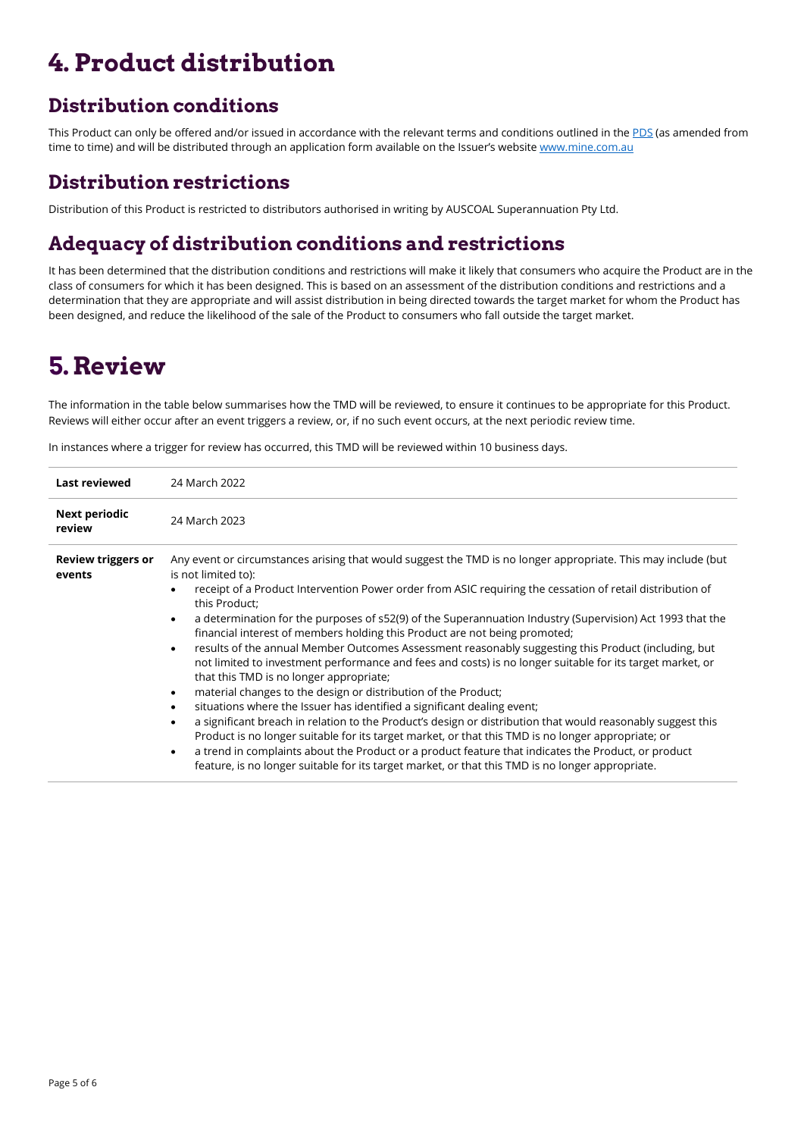# **4. Product distribution**

### **Distribution conditions**

This Product can only be offered and/or issued in accordance with the relevant terms and conditions outlined in the [PDS](https://www.mine.com.au/docs/default-source/publications/pension-pds.pdf) (as amended from time to time) and will be distributed through an application form available on the Issuer's website [www.mine.com.au](http://www.mine.com.au/)

#### **Distribution restrictions**

Distribution of this Product is restricted to distributors authorised in writing by AUSCOAL Superannuation Pty Ltd.

### **Adequacy of distribution conditions and restrictions**

It has been determined that the distribution conditions and restrictions will make it likely that consumers who acquire the Product are in the class of consumers for which it has been designed. This is based on an assessment of the distribution conditions and restrictions and a determination that they are appropriate and will assist distribution in being directed towards the target market for whom the Product has been designed, and reduce the likelihood of the sale of the Product to consumers who fall outside the target market.

### **5.Review**

The information in the table below summarises how the TMD will be reviewed, to ensure it continues to be appropriate for this Product. Reviews will either occur after an event triggers a review, or, if no such event occurs, at the next periodic review time.

In instances where a trigger for review has occurred, this TMD will be reviewed within 10 business days.

| <b>Last reviewed</b>                | 24 March 2022                                                                                                                                                                                                                                                            |  |
|-------------------------------------|--------------------------------------------------------------------------------------------------------------------------------------------------------------------------------------------------------------------------------------------------------------------------|--|
| <b>Next periodic</b><br>review      | 24 March 2023                                                                                                                                                                                                                                                            |  |
| <b>Review triggers or</b><br>events | Any event or circumstances arising that would suggest the TMD is no longer appropriate. This may include (but<br>is not limited to):                                                                                                                                     |  |
|                                     | receipt of a Product Intervention Power order from ASIC requiring the cessation of retail distribution of<br>this Product;                                                                                                                                               |  |
|                                     | a determination for the purposes of s52(9) of the Superannuation Industry (Supervision) Act 1993 that the<br>$\bullet$<br>financial interest of members holding this Product are not being promoted;                                                                     |  |
|                                     | results of the annual Member Outcomes Assessment reasonably suggesting this Product (including, but<br>$\bullet$<br>not limited to investment performance and fees and costs) is no longer suitable for its target market, or<br>that this TMD is no longer appropriate; |  |
|                                     | material changes to the design or distribution of the Product;<br>$\bullet$                                                                                                                                                                                              |  |
|                                     | situations where the Issuer has identified a significant dealing event;<br>$\bullet$                                                                                                                                                                                     |  |
|                                     | a significant breach in relation to the Product's design or distribution that would reasonably suggest this<br>$\bullet$                                                                                                                                                 |  |
|                                     | Product is no longer suitable for its target market, or that this TMD is no longer appropriate; or                                                                                                                                                                       |  |
|                                     | a trend in complaints about the Product or a product feature that indicates the Product, or product<br>$\bullet$                                                                                                                                                         |  |
|                                     | feature, is no longer suitable for its target market, or that this TMD is no longer appropriate.                                                                                                                                                                         |  |